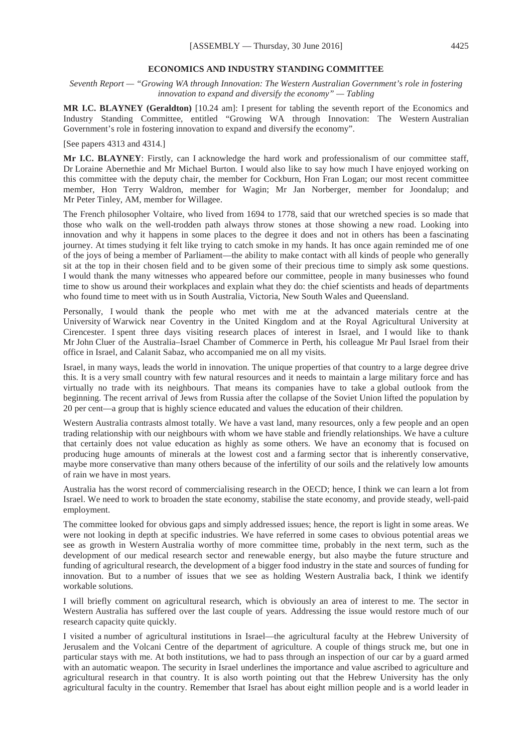#### **ECONOMICS AND INDUSTRY STANDING COMMITTEE**

*Seventh Report — "Growing WA through Innovation: The Western Australian Government's role in fostering innovation to expand and diversify the economy" — Tabling*

**MR I.C. BLAYNEY (Geraldton)** [10.24 am]: I present for tabling the seventh report of the Economics and Industry Standing Committee, entitled "Growing WA through Innovation: The Western Australian Government's role in fostering innovation to expand and diversify the economy".

[See papers 4313 and 4314.]

**Mr I.C. BLAYNEY**: Firstly, can I acknowledge the hard work and professionalism of our committee staff, Dr Loraine Abernethie and Mr Michael Burton. I would also like to say how much I have enjoyed working on this committee with the deputy chair, the member for Cockburn, Hon Fran Logan; our most recent committee member, Hon Terry Waldron, member for Wagin; Mr Jan Norberger, member for Joondalup; and Mr Peter Tinley, AM, member for Willagee.

The French philosopher Voltaire, who lived from 1694 to 1778, said that our wretched species is so made that those who walk on the well-trodden path always throw stones at those showing a new road. Looking into innovation and why it happens in some places to the degree it does and not in others has been a fascinating journey. At times studying it felt like trying to catch smoke in my hands. It has once again reminded me of one of the joys of being a member of Parliament—the ability to make contact with all kinds of people who generally sit at the top in their chosen field and to be given some of their precious time to simply ask some questions. I would thank the many witnesses who appeared before our committee, people in many businesses who found time to show us around their workplaces and explain what they do: the chief scientists and heads of departments who found time to meet with us in South Australia, Victoria, New South Wales and Queensland.

Personally, I would thank the people who met with me at the advanced materials centre at the University of Warwick near Coventry in the United Kingdom and at the Royal Agricultural University at Cirencester. I spent three days visiting research places of interest in Israel, and I would like to thank Mr John Cluer of the Australia–Israel Chamber of Commerce in Perth, his colleague Mr Paul Israel from their office in Israel, and Calanit Sabaz, who accompanied me on all my visits.

Israel, in many ways, leads the world in innovation. The unique properties of that country to a large degree drive this. It is a very small country with few natural resources and it needs to maintain a large military force and has virtually no trade with its neighbours. That means its companies have to take a global outlook from the beginning. The recent arrival of Jews from Russia after the collapse of the Soviet Union lifted the population by 20 per cent—a group that is highly science educated and values the education of their children.

Western Australia contrasts almost totally. We have a vast land, many resources, only a few people and an open trading relationship with our neighbours with whom we have stable and friendly relationships. We have a culture that certainly does not value education as highly as some others. We have an economy that is focused on producing huge amounts of minerals at the lowest cost and a farming sector that is inherently conservative, maybe more conservative than many others because of the infertility of our soils and the relatively low amounts of rain we have in most years.

Australia has the worst record of commercialising research in the OECD; hence, I think we can learn a lot from Israel. We need to work to broaden the state economy, stabilise the state economy, and provide steady, well-paid employment.

The committee looked for obvious gaps and simply addressed issues; hence, the report is light in some areas. We were not looking in depth at specific industries. We have referred in some cases to obvious potential areas we see as growth in Western Australia worthy of more committee time, probably in the next term, such as the development of our medical research sector and renewable energy, but also maybe the future structure and funding of agricultural research, the development of a bigger food industry in the state and sources of funding for innovation. But to a number of issues that we see as holding Western Australia back, I think we identify workable solutions.

I will briefly comment on agricultural research, which is obviously an area of interest to me. The sector in Western Australia has suffered over the last couple of years. Addressing the issue would restore much of our research capacity quite quickly.

I visited a number of agricultural institutions in Israel—the agricultural faculty at the Hebrew University of Jerusalem and the Volcani Centre of the department of agriculture. A couple of things struck me, but one in particular stays with me. At both institutions, we had to pass through an inspection of our car by a guard armed with an automatic weapon. The security in Israel underlines the importance and value ascribed to agriculture and agricultural research in that country. It is also worth pointing out that the Hebrew University has the only agricultural faculty in the country. Remember that Israel has about eight million people and is a world leader in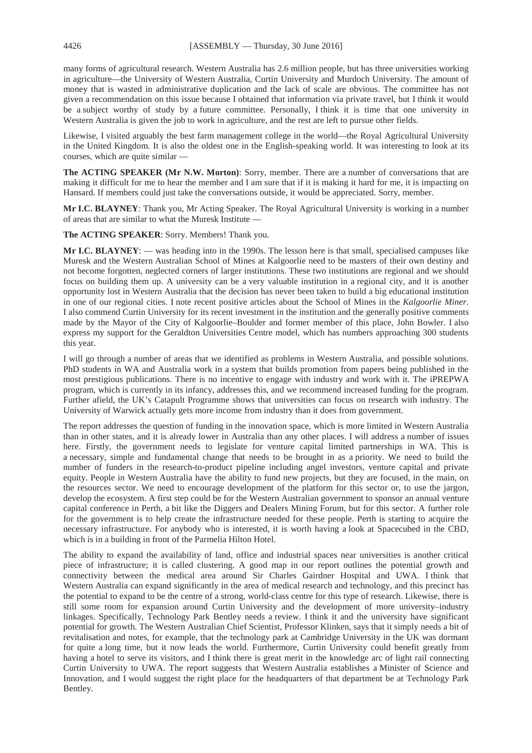many forms of agricultural research. Western Australia has 2.6 million people, but has three universities working in agriculture—the University of Western Australia, Curtin University and Murdoch University. The amount of money that is wasted in administrative duplication and the lack of scale are obvious. The committee has not given a recommendation on this issue because I obtained that information via private travel, but I think it would be a subject worthy of study by a future committee. Personally, I think it is time that one university in Western Australia is given the job to work in agriculture, and the rest are left to pursue other fields.

Likewise, I visited arguably the best farm management college in the world—the Royal Agricultural University in the United Kingdom. It is also the oldest one in the English-speaking world. It was interesting to look at its courses, which are quite similar —

**The ACTING SPEAKER (Mr N.W. Morton)**: Sorry, member. There are a number of conversations that are making it difficult for me to hear the member and I am sure that if it is making it hard for me, it is impacting on Hansard. If members could just take the conversations outside, it would be appreciated. Sorry, member.

**Mr I.C. BLAYNEY**: Thank you, Mr Acting Speaker. The Royal Agricultural University is working in a number of areas that are similar to what the Muresk Institute —

**The ACTING SPEAKER**: Sorry. Members! Thank you.

**Mr I.C. BLAYNEY**: — was heading into in the 1990s. The lesson here is that small, specialised campuses like Muresk and the Western Australian School of Mines at Kalgoorlie need to be masters of their own destiny and not become forgotten, neglected corners of larger institutions. These two institutions are regional and we should focus on building them up. A university can be a very valuable institution in a regional city, and it is another opportunity lost in Western Australia that the decision has never been taken to build a big educational institution in one of our regional cities. I note recent positive articles about the School of Mines in the *Kalgoorlie Miner*. I also commend Curtin University for its recent investment in the institution and the generally positive comments made by the Mayor of the City of Kalgoorlie–Boulder and former member of this place, John Bowler. I also express my support for the Geraldton Universities Centre model, which has numbers approaching 300 students this year.

I will go through a number of areas that we identified as problems in Western Australia, and possible solutions. PhD students in WA and Australia work in a system that builds promotion from papers being published in the most prestigious publications. There is no incentive to engage with industry and work with it. The iPREPWA program, which is currently in its infancy, addresses this, and we recommend increased funding for the program. Further afield, the UK's Catapult Programme shows that universities can focus on research with industry. The University of Warwick actually gets more income from industry than it does from government.

The report addresses the question of funding in the innovation space, which is more limited in Western Australia than in other states, and it is already lower in Australia than any other places. I will address a number of issues here. Firstly, the government needs to legislate for venture capital limited partnerships in WA. This is a necessary, simple and fundamental change that needs to be brought in as a priority. We need to build the number of funders in the research-to-product pipeline including angel investors, venture capital and private equity. People in Western Australia have the ability to fund new projects, but they are focused, in the main, on the resources sector. We need to encourage development of the platform for this sector or, to use the jargon, develop the ecosystem. A first step could be for the Western Australian government to sponsor an annual venture capital conference in Perth, a bit like the Diggers and Dealers Mining Forum, but for this sector. A further role for the government is to help create the infrastructure needed for these people. Perth is starting to acquire the necessary infrastructure. For anybody who is interested, it is worth having a look at Spacecubed in the CBD, which is in a building in front of the Parmelia Hilton Hotel.

The ability to expand the availability of land, office and industrial spaces near universities is another critical piece of infrastructure; it is called clustering. A good map in our report outlines the potential growth and connectivity between the medical area around Sir Charles Gairdner Hospital and UWA. I think that Western Australia can expand significantly in the area of medical research and technology, and this precinct has the potential to expand to be the centre of a strong, world-class centre for this type of research. Likewise, there is still some room for expansion around Curtin University and the development of more university–industry linkages. Specifically, Technology Park Bentley needs a review. I think it and the university have significant potential for growth. The Western Australian Chief Scientist, Professor Klinken, says that it simply needs a bit of revitalisation and notes, for example, that the technology park at Cambridge University in the UK was dormant for quite a long time, but it now leads the world. Furthermore, Curtin University could benefit greatly from having a hotel to serve its visitors, and I think there is great merit in the knowledge arc of light rail connecting Curtin University to UWA. The report suggests that Western Australia establishes a Minister of Science and Innovation, and I would suggest the right place for the headquarters of that department be at Technology Park Bentley.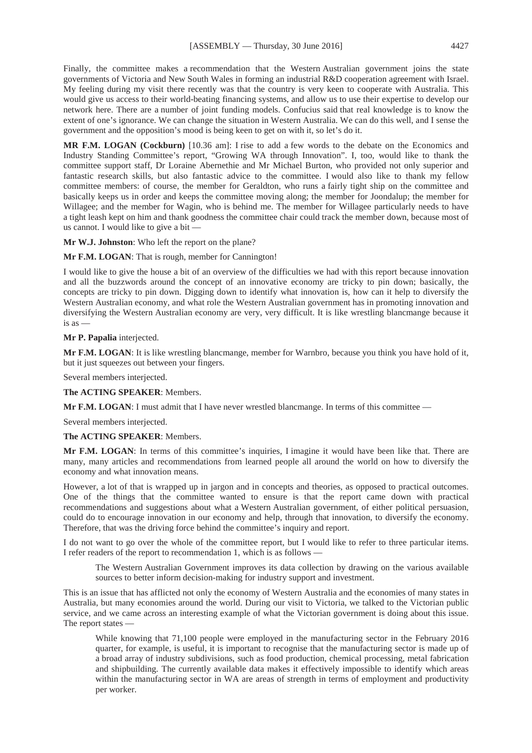Finally, the committee makes a recommendation that the Western Australian government joins the state governments of Victoria and New South Wales in forming an industrial R&D cooperation agreement with Israel. My feeling during my visit there recently was that the country is very keen to cooperate with Australia. This would give us access to their world-beating financing systems, and allow us to use their expertise to develop our network here. There are a number of joint funding models. Confucius said that real knowledge is to know the extent of one's ignorance. We can change the situation in Western Australia. We can do this well, and I sense the government and the opposition's mood is being keen to get on with it, so let's do it.

**MR F.M. LOGAN (Cockburn)** [10.36 am]: I rise to add a few words to the debate on the Economics and Industry Standing Committee's report, "Growing WA through Innovation". I, too, would like to thank the committee support staff, Dr Loraine Abernethie and Mr Michael Burton, who provided not only superior and fantastic research skills, but also fantastic advice to the committee. I would also like to thank my fellow committee members: of course, the member for Geraldton, who runs a fairly tight ship on the committee and basically keeps us in order and keeps the committee moving along; the member for Joondalup; the member for Willagee; and the member for Wagin, who is behind me. The member for Willagee particularly needs to have a tight leash kept on him and thank goodness the committee chair could track the member down, because most of us cannot. I would like to give a bit —

**Mr W.J. Johnston**: Who left the report on the plane?

**Mr F.M. LOGAN**: That is rough, member for Cannington!

I would like to give the house a bit of an overview of the difficulties we had with this report because innovation and all the buzzwords around the concept of an innovative economy are tricky to pin down; basically, the concepts are tricky to pin down. Digging down to identify what innovation is, how can it help to diversify the Western Australian economy, and what role the Western Australian government has in promoting innovation and diversifying the Western Australian economy are very, very difficult. It is like wrestling blancmange because it is as —

**Mr P. Papalia** interjected.

**Mr F.M. LOGAN**: It is like wrestling blancmange, member for Warnbro, because you think you have hold of it, but it just squeezes out between your fingers.

Several members interjected.

**The ACTING SPEAKER**: Members.

**Mr F.M. LOGAN**: I must admit that I have never wrestled blancmange. In terms of this committee —

Several members interjected.

**The ACTING SPEAKER**: Members.

**Mr F.M. LOGAN**: In terms of this committee's inquiries, I imagine it would have been like that. There are many, many articles and recommendations from learned people all around the world on how to diversify the economy and what innovation means.

However, a lot of that is wrapped up in jargon and in concepts and theories, as opposed to practical outcomes. One of the things that the committee wanted to ensure is that the report came down with practical recommendations and suggestions about what a Western Australian government, of either political persuasion, could do to encourage innovation in our economy and help, through that innovation, to diversify the economy. Therefore, that was the driving force behind the committee's inquiry and report.

I do not want to go over the whole of the committee report, but I would like to refer to three particular items. I refer readers of the report to recommendation 1, which is as follows —

The Western Australian Government improves its data collection by drawing on the various available sources to better inform decision-making for industry support and investment.

This is an issue that has afflicted not only the economy of Western Australia and the economies of many states in Australia, but many economies around the world. During our visit to Victoria, we talked to the Victorian public service, and we came across an interesting example of what the Victorian government is doing about this issue. The report states —

While knowing that 71,100 people were employed in the manufacturing sector in the February 2016 quarter, for example, is useful, it is important to recognise that the manufacturing sector is made up of a broad array of industry subdivisions, such as food production, chemical processing, metal fabrication and shipbuilding. The currently available data makes it effectively impossible to identify which areas within the manufacturing sector in WA are areas of strength in terms of employment and productivity per worker.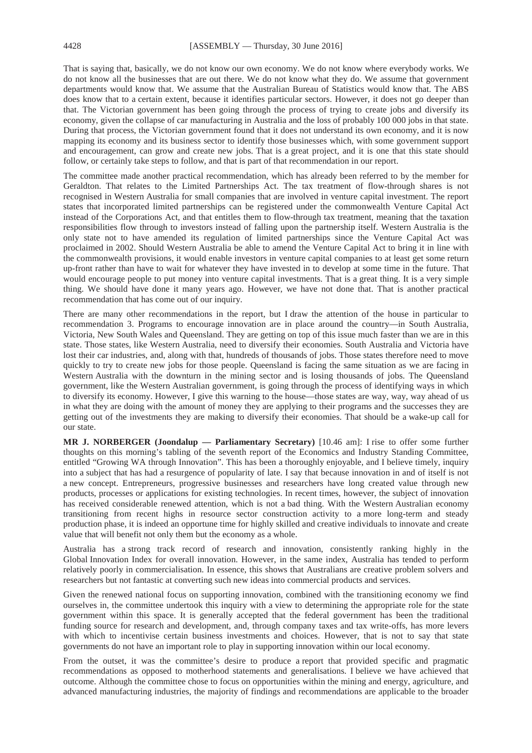That is saying that, basically, we do not know our own economy. We do not know where everybody works. We do not know all the businesses that are out there. We do not know what they do. We assume that government departments would know that. We assume that the Australian Bureau of Statistics would know that. The ABS does know that to a certain extent, because it identifies particular sectors. However, it does not go deeper than that. The Victorian government has been going through the process of trying to create jobs and diversify its economy, given the collapse of car manufacturing in Australia and the loss of probably 100 000 jobs in that state. During that process, the Victorian government found that it does not understand its own economy, and it is now mapping its economy and its business sector to identify those businesses which, with some government support and encouragement, can grow and create new jobs. That is a great project, and it is one that this state should follow, or certainly take steps to follow, and that is part of that recommendation in our report.

The committee made another practical recommendation, which has already been referred to by the member for Geraldton. That relates to the Limited Partnerships Act. The tax treatment of flow-through shares is not recognised in Western Australia for small companies that are involved in venture capital investment. The report states that incorporated limited partnerships can be registered under the commonwealth Venture Capital Act instead of the Corporations Act, and that entitles them to flow-through tax treatment, meaning that the taxation responsibilities flow through to investors instead of falling upon the partnership itself. Western Australia is the only state not to have amended its regulation of limited partnerships since the Venture Capital Act was proclaimed in 2002. Should Western Australia be able to amend the Venture Capital Act to bring it in line with the commonwealth provisions, it would enable investors in venture capital companies to at least get some return up-front rather than have to wait for whatever they have invested in to develop at some time in the future. That would encourage people to put money into venture capital investments. That is a great thing. It is a very simple thing. We should have done it many years ago. However, we have not done that. That is another practical recommendation that has come out of our inquiry.

There are many other recommendations in the report, but I draw the attention of the house in particular to recommendation 3. Programs to encourage innovation are in place around the country—in South Australia, Victoria, New South Wales and Queensland. They are getting on top of this issue much faster than we are in this state. Those states, like Western Australia, need to diversify their economies. South Australia and Victoria have lost their car industries, and, along with that, hundreds of thousands of jobs. Those states therefore need to move quickly to try to create new jobs for those people. Queensland is facing the same situation as we are facing in Western Australia with the downturn in the mining sector and is losing thousands of jobs. The Queensland government, like the Western Australian government, is going through the process of identifying ways in which to diversify its economy. However, I give this warning to the house—those states are way, way, way ahead of us in what they are doing with the amount of money they are applying to their programs and the successes they are getting out of the investments they are making to diversify their economies. That should be a wake-up call for our state.

**MR J. NORBERGER (Joondalup — Parliamentary Secretary)** [10.46 am]: I rise to offer some further thoughts on this morning's tabling of the seventh report of the Economics and Industry Standing Committee, entitled "Growing WA through Innovation". This has been a thoroughly enjoyable, and I believe timely, inquiry into a subject that has had a resurgence of popularity of late. I say that because innovation in and of itself is not a new concept. Entrepreneurs, progressive businesses and researchers have long created value through new products, processes or applications for existing technologies. In recent times, however, the subject of innovation has received considerable renewed attention, which is not a bad thing. With the Western Australian economy transitioning from recent highs in resource sector construction activity to a more long-term and steady production phase, it is indeed an opportune time for highly skilled and creative individuals to innovate and create value that will benefit not only them but the economy as a whole.

Australia has a strong track record of research and innovation, consistently ranking highly in the Global Innovation Index for overall innovation. However, in the same index, Australia has tended to perform relatively poorly in commercialisation. In essence, this shows that Australians are creative problem solvers and researchers but not fantastic at converting such new ideas into commercial products and services.

Given the renewed national focus on supporting innovation, combined with the transitioning economy we find ourselves in, the committee undertook this inquiry with a view to determining the appropriate role for the state government within this space. It is generally accepted that the federal government has been the traditional funding source for research and development, and, through company taxes and tax write-offs, has more levers with which to incentivise certain business investments and choices. However, that is not to say that state governments do not have an important role to play in supporting innovation within our local economy.

From the outset, it was the committee's desire to produce a report that provided specific and pragmatic recommendations as opposed to motherhood statements and generalisations. I believe we have achieved that outcome. Although the committee chose to focus on opportunities within the mining and energy, agriculture, and advanced manufacturing industries, the majority of findings and recommendations are applicable to the broader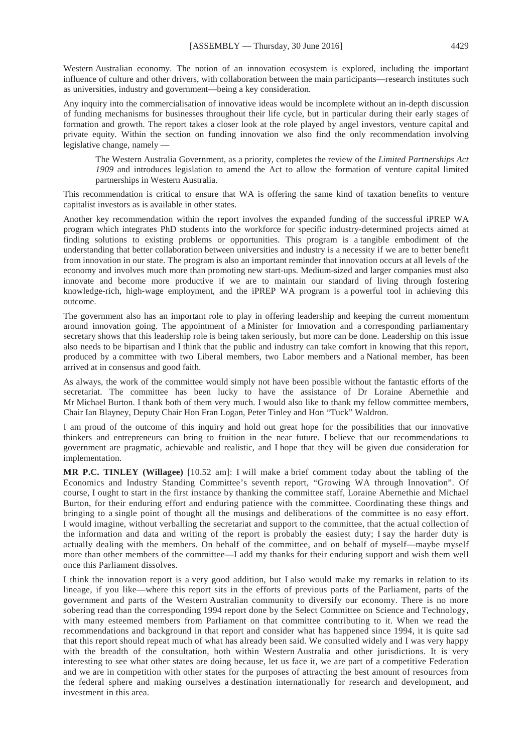Western Australian economy. The notion of an innovation ecosystem is explored, including the important influence of culture and other drivers, with collaboration between the main participants—research institutes such as universities, industry and government—being a key consideration.

Any inquiry into the commercialisation of innovative ideas would be incomplete without an in-depth discussion of funding mechanisms for businesses throughout their life cycle, but in particular during their early stages of formation and growth. The report takes a closer look at the role played by angel investors, venture capital and private equity. Within the section on funding innovation we also find the only recommendation involving legislative change, namely —

The Western Australia Government, as a priority, completes the review of the *Limited Partnerships Act 1909* and introduces legislation to amend the Act to allow the formation of venture capital limited partnerships in Western Australia.

This recommendation is critical to ensure that WA is offering the same kind of taxation benefits to venture capitalist investors as is available in other states.

Another key recommendation within the report involves the expanded funding of the successful iPREP WA program which integrates PhD students into the workforce for specific industry-determined projects aimed at finding solutions to existing problems or opportunities. This program is a tangible embodiment of the understanding that better collaboration between universities and industry is a necessity if we are to better benefit from innovation in our state. The program is also an important reminder that innovation occurs at all levels of the economy and involves much more than promoting new start-ups. Medium-sized and larger companies must also innovate and become more productive if we are to maintain our standard of living through fostering knowledge-rich, high-wage employment, and the iPREP WA program is a powerful tool in achieving this outcome.

The government also has an important role to play in offering leadership and keeping the current momentum around innovation going. The appointment of a Minister for Innovation and a corresponding parliamentary secretary shows that this leadership role is being taken seriously, but more can be done. Leadership on this issue also needs to be bipartisan and I think that the public and industry can take comfort in knowing that this report, produced by a committee with two Liberal members, two Labor members and a National member, has been arrived at in consensus and good faith.

As always, the work of the committee would simply not have been possible without the fantastic efforts of the secretariat. The committee has been lucky to have the assistance of Dr Loraine Abernethie and Mr Michael Burton. I thank both of them very much. I would also like to thank my fellow committee members, Chair Ian Blayney, Deputy Chair Hon Fran Logan, Peter Tinley and Hon "Tuck" Waldron.

I am proud of the outcome of this inquiry and hold out great hope for the possibilities that our innovative thinkers and entrepreneurs can bring to fruition in the near future. I believe that our recommendations to government are pragmatic, achievable and realistic, and I hope that they will be given due consideration for implementation.

**MR P.C. TINLEY (Willagee)** [10.52 am]: I will make a brief comment today about the tabling of the Economics and Industry Standing Committee's seventh report, "Growing WA through Innovation". Of course, I ought to start in the first instance by thanking the committee staff, Loraine Abernethie and Michael Burton, for their enduring effort and enduring patience with the committee. Coordinating these things and bringing to a single point of thought all the musings and deliberations of the committee is no easy effort. I would imagine, without verballing the secretariat and support to the committee, that the actual collection of the information and data and writing of the report is probably the easiest duty; I say the harder duty is actually dealing with the members. On behalf of the committee, and on behalf of myself—maybe myself more than other members of the committee—I add my thanks for their enduring support and wish them well once this Parliament dissolves.

I think the innovation report is a very good addition, but I also would make my remarks in relation to its lineage, if you like—where this report sits in the efforts of previous parts of the Parliament, parts of the government and parts of the Western Australian community to diversify our economy. There is no more sobering read than the corresponding 1994 report done by the Select Committee on Science and Technology, with many esteemed members from Parliament on that committee contributing to it. When we read the recommendations and background in that report and consider what has happened since 1994, it is quite sad that this report should repeat much of what has already been said. We consulted widely and I was very happy with the breadth of the consultation, both within Western Australia and other jurisdictions. It is very interesting to see what other states are doing because, let us face it, we are part of a competitive Federation and we are in competition with other states for the purposes of attracting the best amount of resources from the federal sphere and making ourselves a destination internationally for research and development, and investment in this area.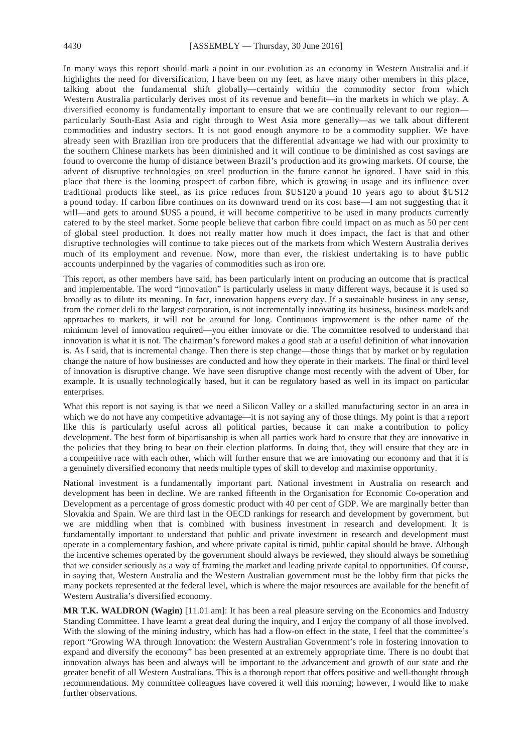In many ways this report should mark a point in our evolution as an economy in Western Australia and it highlights the need for diversification. I have been on my feet, as have many other members in this place, talking about the fundamental shift globally—certainly within the commodity sector from which Western Australia particularly derives most of its revenue and benefit—in the markets in which we play. A diversified economy is fundamentally important to ensure that we are continually relevant to our region particularly South-East Asia and right through to West Asia more generally—as we talk about different commodities and industry sectors. It is not good enough anymore to be a commodity supplier. We have already seen with Brazilian iron ore producers that the differential advantage we had with our proximity to the southern Chinese markets has been diminished and it will continue to be diminished as cost savings are found to overcome the hump of distance between Brazil's production and its growing markets. Of course, the advent of disruptive technologies on steel production in the future cannot be ignored. I have said in this place that there is the looming prospect of carbon fibre, which is growing in usage and its influence over traditional products like steel, as its price reduces from \$US120 a pound 10 years ago to about \$US12 a pound today. If carbon fibre continues on its downward trend on its cost base—I am not suggesting that it will—and gets to around \$US5 a pound, it will become competitive to be used in many products currently catered to by the steel market. Some people believe that carbon fibre could impact on as much as 50 per cent of global steel production. It does not really matter how much it does impact, the fact is that and other disruptive technologies will continue to take pieces out of the markets from which Western Australia derives much of its employment and revenue. Now, more than ever, the riskiest undertaking is to have public accounts underpinned by the vagaries of commodities such as iron ore.

This report, as other members have said, has been particularly intent on producing an outcome that is practical and implementable. The word "innovation" is particularly useless in many different ways, because it is used so broadly as to dilute its meaning. In fact, innovation happens every day. If a sustainable business in any sense, from the corner deli to the largest corporation, is not incrementally innovating its business, business models and approaches to markets, it will not be around for long. Continuous improvement is the other name of the minimum level of innovation required—you either innovate or die. The committee resolved to understand that innovation is what it is not. The chairman's foreword makes a good stab at a useful definition of what innovation is. As I said, that is incremental change. Then there is step change—those things that by market or by regulation change the nature of how businesses are conducted and how they operate in their markets. The final or third level of innovation is disruptive change. We have seen disruptive change most recently with the advent of Uber, for example. It is usually technologically based, but it can be regulatory based as well in its impact on particular enterprises.

What this report is not saying is that we need a Silicon Valley or a skilled manufacturing sector in an area in which we do not have any competitive advantage—it is not saying any of those things. My point is that a report like this is particularly useful across all political parties, because it can make a contribution to policy development. The best form of bipartisanship is when all parties work hard to ensure that they are innovative in the policies that they bring to bear on their election platforms. In doing that, they will ensure that they are in a competitive race with each other, which will further ensure that we are innovating our economy and that it is a genuinely diversified economy that needs multiple types of skill to develop and maximise opportunity.

National investment is a fundamentally important part. National investment in Australia on research and development has been in decline. We are ranked fifteenth in the Organisation for Economic Co-operation and Development as a percentage of gross domestic product with 40 per cent of GDP. We are marginally better than Slovakia and Spain. We are third last in the OECD rankings for research and development by government, but we are middling when that is combined with business investment in research and development. It is fundamentally important to understand that public and private investment in research and development must operate in a complementary fashion, and where private capital is timid, public capital should be brave. Although the incentive schemes operated by the government should always be reviewed, they should always be something that we consider seriously as a way of framing the market and leading private capital to opportunities. Of course, in saying that, Western Australia and the Western Australian government must be the lobby firm that picks the many pockets represented at the federal level, which is where the major resources are available for the benefit of Western Australia's diversified economy.

**MR T.K. WALDRON (Wagin)** [11.01 am]: It has been a real pleasure serving on the Economics and Industry Standing Committee. I have learnt a great deal during the inquiry, and I enjoy the company of all those involved. With the slowing of the mining industry, which has had a flow-on effect in the state, I feel that the committee's report "Growing WA through Innovation: the Western Australian Government's role in fostering innovation to expand and diversify the economy" has been presented at an extremely appropriate time. There is no doubt that innovation always has been and always will be important to the advancement and growth of our state and the greater benefit of all Western Australians. This is a thorough report that offers positive and well-thought through recommendations. My committee colleagues have covered it well this morning; however, I would like to make further observations.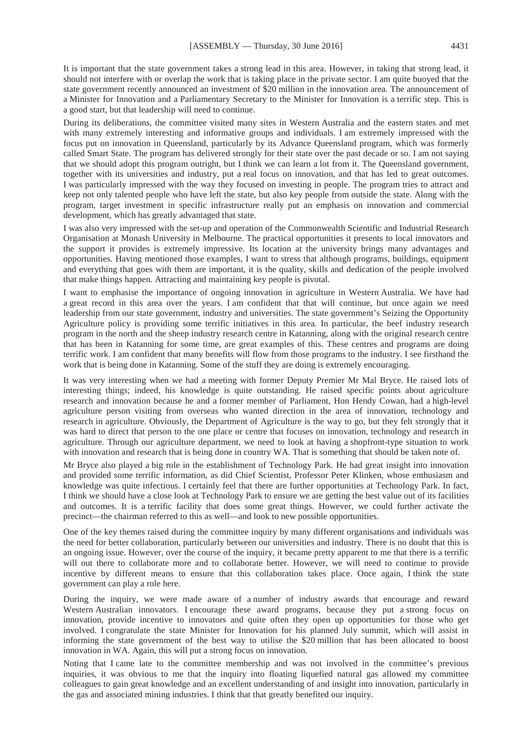It is important that the state government takes a strong lead in this area. However, in taking that strong lead, it should not interfere with or overlap the work that is taking place in the private sector. I am quite buoyed that the state government recently announced an investment of \$20 million in the innovation area. The announcement of a Minister for Innovation and a Parliamentary Secretary to the Minister for Innovation is a terrific step. This is a good start, but that leadership will need to continue.

During its deliberations, the committee visited many sites in Western Australia and the eastern states and met with many extremely interesting and informative groups and individuals. I am extremely impressed with the focus put on innovation in Queensland, particularly by its Advance Queensland program, which was formerly called Smart State. The program has delivered strongly for their state over the past decade or so. I am not saying that we should adopt this program outright, but I think we can learn a lot from it. The Queensland government, together with its universities and industry, put a real focus on innovation, and that has led to great outcomes. I was particularly impressed with the way they focused on investing in people. The program tries to attract and keep not only talented people who have left the state, but also key people from outside the state. Along with the program, target investment in specific infrastructure really put an emphasis on innovation and commercial development, which has greatly advantaged that state.

I was also very impressed with the set-up and operation of the Commonwealth Scientific and Industrial Research Organisation at Monash University in Melbourne. The practical opportunities it presents to local innovators and the support it provides is extremely impressive. Its location at the university brings many advantages and opportunities. Having mentioned those examples, I want to stress that although programs, buildings, equipment and everything that goes with them are important, it is the quality, skills and dedication of the people involved that make things happen. Attracting and maintaining key people is pivotal.

I want to emphasise the importance of ongoing innovation in agriculture in Western Australia. We have had a great record in this area over the years. I am confident that that will continue, but once again we need leadership from our state government, industry and universities. The state government's Seizing the Opportunity Agriculture policy is providing some terrific initiatives in this area. In particular, the beef industry research program in the north and the sheep industry research centre in Katanning, along with the original research centre that has been in Katanning for some time, are great examples of this. These centres and programs are doing terrific work. I am confident that many benefits will flow from those programs to the industry. I see firsthand the work that is being done in Katanning. Some of the stuff they are doing is extremely encouraging.

It was very interesting when we had a meeting with former Deputy Premier Mr Mal Bryce. He raised lots of interesting things; indeed, his knowledge is quite outstanding. He raised specific points about agriculture research and innovation because he and a former member of Parliament, Hon Hendy Cowan, had a high-level agriculture person visiting from overseas who wanted direction in the area of innovation, technology and research in agriculture. Obviously, the Department of Agriculture is the way to go, but they felt strongly that it was hard to direct that person to the one place or centre that focuses on innovation, technology and research in agriculture. Through our agriculture department, we need to look at having a shopfront-type situation to work with innovation and research that is being done in country WA. That is something that should be taken note of.

Mr Bryce also played a big role in the establishment of Technology Park. He had great insight into innovation and provided some terrific information, as did Chief Scientist, Professor Peter Klinken, whose enthusiasm and knowledge was quite infectious. I certainly feel that there are further opportunities at Technology Park. In fact, I think we should have a close look at Technology Park to ensure we are getting the best value out of its facilities and outcomes. It is a terrific facility that does some great things. However, we could further activate the precinct—the chairman referred to this as well—and look to new possible opportunities.

One of the key themes raised during the committee inquiry by many different organisations and individuals was the need for better collaboration, particularly between our universities and industry. There is no doubt that this is an ongoing issue. However, over the course of the inquiry, it became pretty apparent to me that there is a terrific will out there to collaborate more and to collaborate better. However, we will need to continue to provide incentive by different means to ensure that this collaboration takes place. Once again, I think the state government can play a role here.

During the inquiry, we were made aware of a number of industry awards that encourage and reward Western Australian innovators. I encourage these award programs, because they put a strong focus on innovation, provide incentive to innovators and quite often they open up opportunities for those who get involved. I congratulate the state Minister for Innovation for his planned July summit, which will assist in informing the state government of the best way to utilise the \$20 million that has been allocated to boost innovation in WA. Again, this will put a strong focus on innovation.

Noting that I came late to the committee membership and was not involved in the committee's previous inquiries, it was obvious to me that the inquiry into floating liquefied natural gas allowed my committee colleagues to gain great knowledge and an excellent understanding of and insight into innovation, particularly in the gas and associated mining industries. I think that that greatly benefited our inquiry.